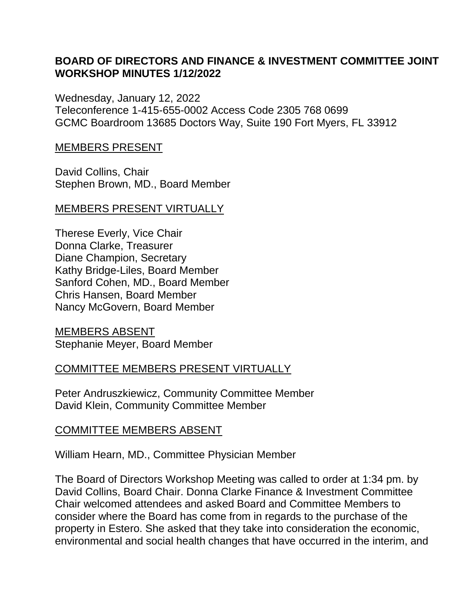### **BOARD OF DIRECTORS AND FINANCE & INVESTMENT COMMITTEE JOINT WORKSHOP MINUTES 1/12/2022**

Wednesday, January 12, 2022 Teleconference 1-415-655-0002 Access Code 2305 768 0699 GCMC Boardroom 13685 Doctors Way, Suite 190 Fort Myers, FL 33912

#### MEMBERS PRESENT

David Collins, Chair Stephen Brown, MD., Board Member

#### MEMBERS PRESENT VIRTUALLY

Therese Everly, Vice Chair Donna Clarke, Treasurer Diane Champion, Secretary Kathy Bridge-Liles, Board Member Sanford Cohen, MD., Board Member Chris Hansen, Board Member Nancy McGovern, Board Member

MEMBERS ABSENT Stephanie Meyer, Board Member

### COMMITTEE MEMBERS PRESENT VIRTUALLY

Peter Andruszkiewicz, Community Committee Member David Klein, Community Committee Member

#### COMMITTEE MEMBERS ABSENT

William Hearn, MD., Committee Physician Member

The Board of Directors Workshop Meeting was called to order at 1:34 pm. by David Collins, Board Chair. Donna Clarke Finance & Investment Committee Chair welcomed attendees and asked Board and Committee Members to consider where the Board has come from in regards to the purchase of the property in Estero. She asked that they take into consideration the economic, environmental and social health changes that have occurred in the interim, and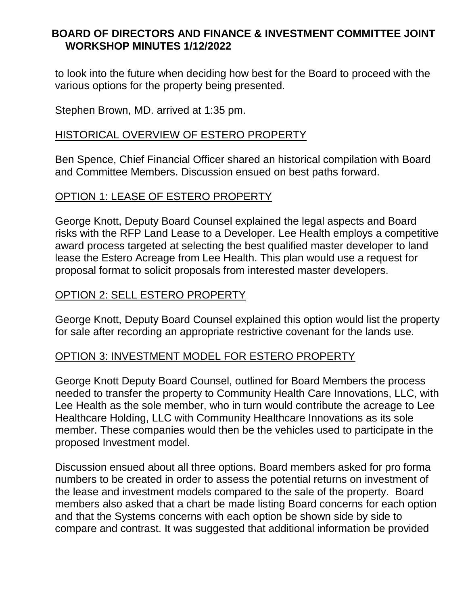# **BOARD OF DIRECTORS AND FINANCE & INVESTMENT COMMITTEE JOINT WORKSHOP MINUTES 1/12/2022**

to look into the future when deciding how best for the Board to proceed with the various options for the property being presented.

Stephen Brown, MD. arrived at 1:35 pm.

## HISTORICAL OVERVIEW OF ESTERO PROPERTY

Ben Spence, Chief Financial Officer shared an historical compilation with Board and Committee Members. Discussion ensued on best paths forward.

### OPTION 1: LEASE OF ESTERO PROPERTY

George Knott, Deputy Board Counsel explained the legal aspects and Board risks with the RFP Land Lease to a Developer. Lee Health employs a competitive award process targeted at selecting the best qualified master developer to land lease the Estero Acreage from Lee Health. This plan would use a request for proposal format to solicit proposals from interested master developers.

# OPTION 2: SELL ESTERO PROPERTY

George Knott, Deputy Board Counsel explained this option would list the property for sale after recording an appropriate restrictive covenant for the lands use.

### OPTION 3: INVESTMENT MODEL FOR ESTERO PROPERTY

George Knott Deputy Board Counsel, outlined for Board Members the process needed to transfer the property to Community Health Care Innovations, LLC, with Lee Health as the sole member, who in turn would contribute the acreage to Lee Healthcare Holding, LLC with Community Healthcare Innovations as its sole member. These companies would then be the vehicles used to participate in the proposed Investment model.

Discussion ensued about all three options. Board members asked for pro forma numbers to be created in order to assess the potential returns on investment of the lease and investment models compared to the sale of the property. Board members also asked that a chart be made listing Board concerns for each option and that the Systems concerns with each option be shown side by side to compare and contrast. It was suggested that additional information be provided